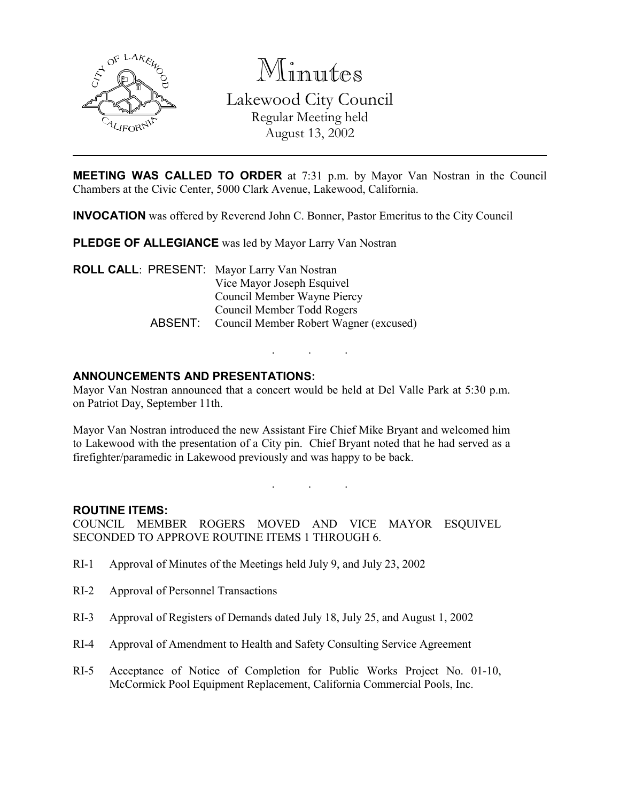

Minutes

Lakewood City Council Regular Meeting held August 13, 2002

**MEETING WAS CALLED TO ORDER** at 7:31 p.m. by Mayor Van Nostran in the Council Chambers at the Civic Center, 5000 Clark Avenue, Lakewood, California.

INVOCATION was offered by Reverend John C. Bonner, Pastor Emeritus to the City Council

PLEDGE OF ALLEGIANCE was led by Mayor Larry Van Nostran

ROLL CALL: PRESENT: Mayor Larry Van Nostran Vice Mayor Joseph Esquivel Council Member Wayne Piercy Council Member Todd Rogers ABSENT: Council Member Robert Wagner (excused)

# ANNOUNCEMENTS AND PRESENTATIONS:

Mayor Van Nostran announced that a concert would be held at Del Valle Park at 5:30 p.m. on Patriot Day, September 11th.

. . .

Mayor Van Nostran introduced the new Assistant Fire Chief Mike Bryant and welcomed him to Lakewood with the presentation of a City pin. Chief Bryant noted that he had served as a firefighter/paramedic in Lakewood previously and was happy to be back.

. . .

### ROUTINE ITEMS:

COUNCIL MEMBER ROGERS MOVED AND VICE MAYOR ESQUIVEL SECONDED TO APPROVE ROUTINE ITEMS 1 THROUGH 6.

- RI-1 Approval of Minutes of the Meetings held July 9, and July 23, 2002
- RI-2 Approval of Personnel Transactions
- RI-3 Approval of Registers of Demands dated July 18, July 25, and August 1, 2002
- RI-4 Approval of Amendment to Health and Safety Consulting Service Agreement
- RI-5 Acceptance of Notice of Completion for Public Works Project No. 01-10, McCormick Pool Equipment Replacement, California Commercial Pools, Inc.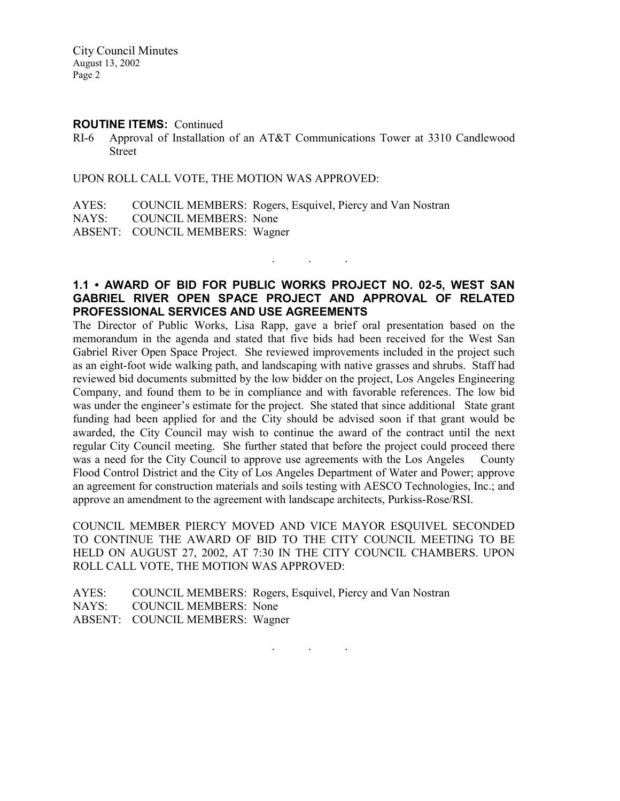City Council Minutes August 13, 2002 Page 2

#### ROUTINE ITEMS: Continued

RI-6 Approval of Installation of an AT&T Communications Tower at 3310 Candlewood Street

UPON ROLL CALL VOTE, THE MOTION WAS APPROVED:

AYES: COUNCIL MEMBERS: Rogers, Esquivel, Piercy and Van Nostran NAYS: COUNCIL MEMBERS: None ABSENT: COUNCIL MEMBERS: Wagner

# 1.1 • AWARD OF BID FOR PUBLIC WORKS PROJECT NO. 02-5, WEST SAN GABRIEL RIVER OPEN SPACE PROJECT AND APPROVAL OF RELATED PROFESSIONAL SERVICES AND USE AGREEMENTS

 $\mathbf{r}$  .  $\mathbf{r}$  ,  $\mathbf{r}$  ,  $\mathbf{r}$  ,  $\mathbf{r}$  ,  $\mathbf{r}$  ,  $\mathbf{r}$ 

The Director of Public Works, Lisa Rapp, gave a brief oral presentation based on the memorandum in the agenda and stated that five bids had been received for the West San Gabriel River Open Space Project. She reviewed improvements included in the project such as an eight-foot wide walking path, and landscaping with native grasses and shrubs. Staff had reviewed bid documents submitted by the low bidder on the project, Los Angeles Engineering Company, and found them to be in compliance and with favorable references. The low bid was under the engineer's estimate for the project. She stated that since additional State grant funding had been applied for and the City should be advised soon if that grant would be awarded, the City Council may wish to continue the award of the contract until the next regular City Council meeting. She further stated that before the project could proceed there was a need for the City Council to approve use agreements with the Los Angeles County Flood Control District and the City of Los Angeles Department of Water and Power; approve an agreement for construction materials and soils testing with AESCO Technologies, Inc.; and approve an amendment to the agreement with landscape architects, Purkiss-Rose/RSI.

COUNCIL MEMBER PIERCY MOVED AND VICE MAYOR ESQUIVEL SECONDED TO CONTINUE THE AWARD OF BID TO THE CITY COUNCIL MEETING TO BE HELD ON AUGUST 27, 2002, AT 7:30 IN THE CITY COUNCIL CHAMBERS. UPON ROLL CALL VOTE, THE MOTION WAS APPROVED:

|                                 | AYES: COUNCIL MEMBERS: Rogers, Esquivel, Piercy and Van Nostran |
|---------------------------------|-----------------------------------------------------------------|
| NAYS: COUNCIL MEMBERS: None     |                                                                 |
| ABSENT: COUNCIL MEMBERS: Wagner |                                                                 |

. . .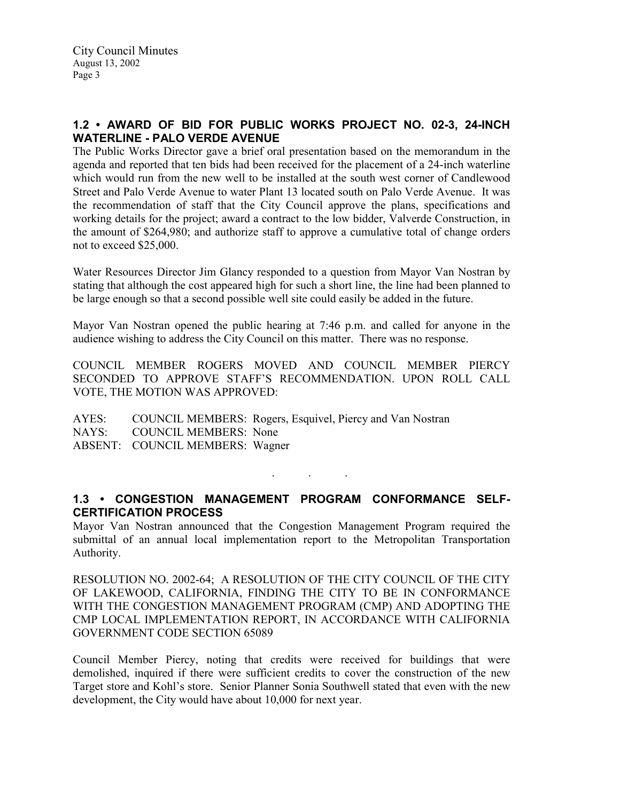# 1.2 • AWARD OF BID FOR PUBLIC WORKS PROJECT NO. 02-3, 24-INCH WATERLINE - PALO VERDE AVENUE

The Public Works Director gave a brief oral presentation based on the memorandum in the agenda and reported that ten bids had been received for the placement of a 24-inch waterline which would run from the new well to be installed at the south west corner of Candlewood Street and Palo Verde Avenue to water Plant 13 located south on Palo Verde Avenue. It was the recommendation of staff that the City Council approve the plans, specifications and working details for the project; award a contract to the low bidder, Valverde Construction, in the amount of \$264,980; and authorize staff to approve a cumulative total of change orders not to exceed \$25,000.

Water Resources Director Jim Glancy responded to a question from Mayor Van Nostran by stating that although the cost appeared high for such a short line, the line had been planned to be large enough so that a second possible well site could easily be added in the future.

Mayor Van Nostran opened the public hearing at 7:46 p.m. and called for anyone in the audience wishing to address the City Council on this matter. There was no response.

COUNCIL MEMBER ROGERS MOVED AND COUNCIL MEMBER PIERCY SECONDED TO APPROVE STAFF'S RECOMMENDATION. UPON ROLL CALL VOTE, THE MOTION WAS APPROVED:

AYES: COUNCIL MEMBERS: Rogers, Esquivel, Piercy and Van Nostran NAYS: COUNCIL MEMBERS: None ABSENT: COUNCIL MEMBERS: Wagner

# 1.3 • CONGESTION MANAGEMENT PROGRAM CONFORMANCE SELF-CERTIFICATION PROCESS

. . .

Mayor Van Nostran announced that the Congestion Management Program required the submittal of an annual local implementation report to the Metropolitan Transportation Authority.

RESOLUTION NO. 2002-64; A RESOLUTION OF THE CITY COUNCIL OF THE CITY OF LAKEWOOD, CALIFORNIA, FINDING THE CITY TO BE IN CONFORMANCE WITH THE CONGESTION MANAGEMENT PROGRAM (CMP) AND ADOPTING THE CMP LOCAL IMPLEMENTATION REPORT, IN ACCORDANCE WITH CALIFORNIA GOVERNMENT CODE SECTION 65089

Council Member Piercy, noting that credits were received for buildings that were demolished, inquired if there were sufficient credits to cover the construction of the new Target store and Kohl's store. Senior Planner Sonia Southwell stated that even with the new development, the City would have about 10,000 for next year.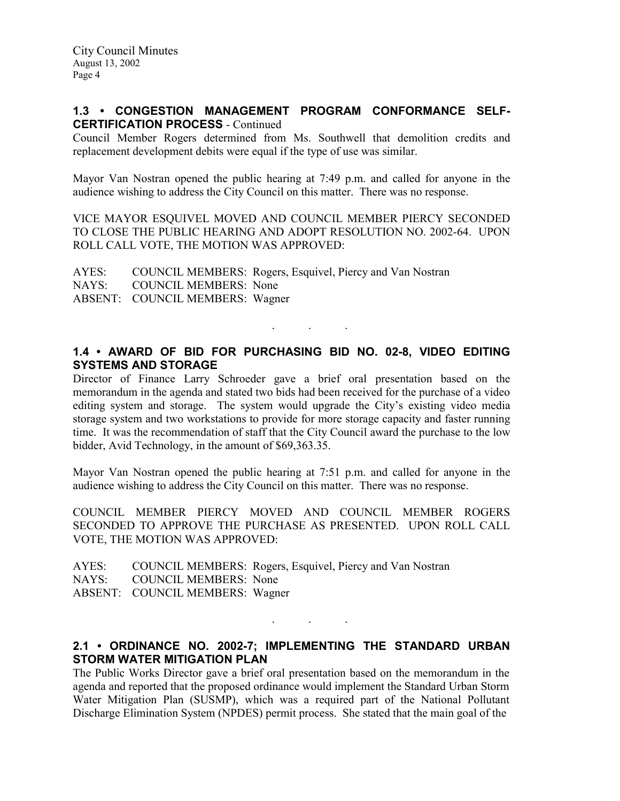### 1.3 • CONGESTION MANAGEMENT PROGRAM CONFORMANCE SELF-CERTIFICATION PROCESS - Continued

Council Member Rogers determined from Ms. Southwell that demolition credits and replacement development debits were equal if the type of use was similar.

Mayor Van Nostran opened the public hearing at 7:49 p.m. and called for anyone in the audience wishing to address the City Council on this matter. There was no response.

VICE MAYOR ESQUIVEL MOVED AND COUNCIL MEMBER PIERCY SECONDED TO CLOSE THE PUBLIC HEARING AND ADOPT RESOLUTION NO. 2002-64. UPON ROLL CALL VOTE, THE MOTION WAS APPROVED:

AYES: COUNCIL MEMBERS: Rogers, Esquivel, Piercy and Van Nostran NAYS: COUNCIL MEMBERS: None ABSENT: COUNCIL MEMBERS: Wagner

# 1.4 • AWARD OF BID FOR PURCHASING BID NO. 02-8, VIDEO EDITING SYSTEMS AND STORAGE

. . .

Director of Finance Larry Schroeder gave a brief oral presentation based on the memorandum in the agenda and stated two bids had been received for the purchase of a video editing system and storage. The system would upgrade the City's existing video media storage system and two workstations to provide for more storage capacity and faster running time. It was the recommendation of staff that the City Council award the purchase to the low bidder, Avid Technology, in the amount of \$69,363.35.

Mayor Van Nostran opened the public hearing at 7:51 p.m. and called for anyone in the audience wishing to address the City Council on this matter. There was no response.

COUNCIL MEMBER PIERCY MOVED AND COUNCIL MEMBER ROGERS SECONDED TO APPROVE THE PURCHASE AS PRESENTED. UPON ROLL CALL VOTE, THE MOTION WAS APPROVED:

AYES: COUNCIL MEMBERS: Rogers, Esquivel, Piercy and Van Nostran NAYS: COUNCIL MEMBERS: None ABSENT: COUNCIL MEMBERS: Wagner

# 2.1 • ORDINANCE NO. 2002-7; IMPLEMENTING THE STANDARD URBAN STORM WATER MITIGATION PLAN

. . .

The Public Works Director gave a brief oral presentation based on the memorandum in the agenda and reported that the proposed ordinance would implement the Standard Urban Storm Water Mitigation Plan (SUSMP), which was a required part of the National Pollutant Discharge Elimination System (NPDES) permit process. She stated that the main goal of the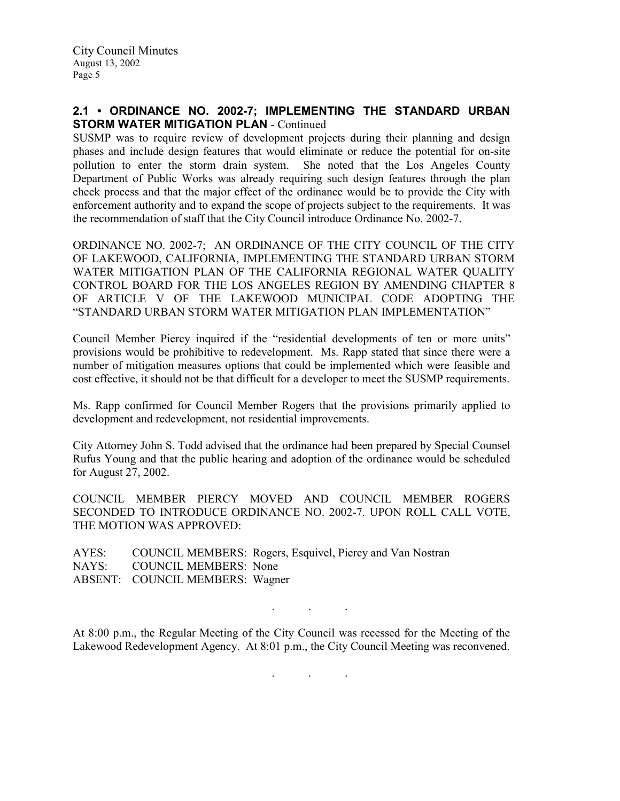# 2.1 • ORDINANCE NO. 2002-7; IMPLEMENTING THE STANDARD URBAN STORM WATER MITIGATION PLAN - Continued

SUSMP was to require review of development projects during their planning and design phases and include design features that would eliminate or reduce the potential for on-site pollution to enter the storm drain system. She noted that the Los Angeles County Department of Public Works was already requiring such design features through the plan check process and that the major effect of the ordinance would be to provide the City with enforcement authority and to expand the scope of projects subject to the requirements. It was the recommendation of staff that the City Council introduce Ordinance No. 2002-7.

ORDINANCE NO. 2002-7; AN ORDINANCE OF THE CITY COUNCIL OF THE CITY OF LAKEWOOD, CALIFORNIA, IMPLEMENTING THE STANDARD URBAN STORM WATER MITIGATION PLAN OF THE CALIFORNIA REGIONAL WATER QUALITY CONTROL BOARD FOR THE LOS ANGELES REGION BY AMENDING CHAPTER 8 OF ARTICLE V OF THE LAKEWOOD MUNICIPAL CODE ADOPTING THE "STANDARD URBAN STORM WATER MITIGATION PLAN IMPLEMENTATION"

Council Member Piercy inquired if the "residential developments of ten or more units" provisions would be prohibitive to redevelopment. Ms. Rapp stated that since there were a number of mitigation measures options that could be implemented which were feasible and cost effective, it should not be that difficult for a developer to meet the SUSMP requirements.

Ms. Rapp confirmed for Council Member Rogers that the provisions primarily applied to development and redevelopment, not residential improvements.

City Attorney John S. Todd advised that the ordinance had been prepared by Special Counsel Rufus Young and that the public hearing and adoption of the ordinance would be scheduled for August 27, 2002.

COUNCIL MEMBER PIERCY MOVED AND COUNCIL MEMBER ROGERS SECONDED TO INTRODUCE ORDINANCE NO. 2002-7. UPON ROLL CALL VOTE, THE MOTION WAS APPROVED:

AYES: COUNCIL MEMBERS: Rogers, Esquivel, Piercy and Van Nostran NAYS: COUNCIL MEMBERS: None ABSENT: COUNCIL MEMBERS: Wagner

At 8:00 p.m., the Regular Meeting of the City Council was recessed for the Meeting of the Lakewood Redevelopment Agency. At 8:01 p.m., the City Council Meeting was reconvened.

. . .

. . .